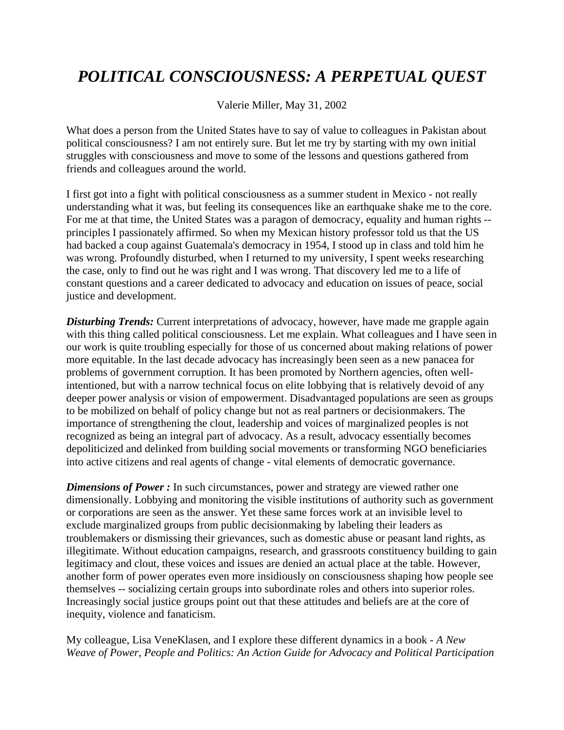## *POLITICAL CONSCIOUSNESS: A PERPETUAL QUEST*

Valerie Miller, May 31, 2002

What does a person from the United States have to say of value to colleagues in Pakistan about political consciousness? I am not entirely sure. But let me try by starting with my own initial struggles with consciousness and move to some of the lessons and questions gathered from friends and colleagues around the world.

I first got into a fight with political consciousness as a summer student in Mexico - not really understanding what it was, but feeling its consequences like an earthquake shake me to the core. For me at that time, the United States was a paragon of democracy, equality and human rights - principles I passionately affirmed. So when my Mexican history professor told us that the US had backed a coup against Guatemala's democracy in 1954, I stood up in class and told him he was wrong. Profoundly disturbed, when I returned to my university, I spent weeks researching the case, only to find out he was right and I was wrong. That discovery led me to a life of constant questions and a career dedicated to advocacy and education on issues of peace, social justice and development.

**Disturbing Trends:** Current interpretations of advocacy, however, have made me grapple again with this thing called political consciousness. Let me explain. What colleagues and I have seen in our work is quite troubling especially for those of us concerned about making relations of power more equitable. In the last decade advocacy has increasingly been seen as a new panacea for problems of government corruption. It has been promoted by Northern agencies, often wellintentioned, but with a narrow technical focus on elite lobbying that is relatively devoid of any deeper power analysis or vision of empowerment. Disadvantaged populations are seen as groups to be mobilized on behalf of policy change but not as real partners or decisionmakers. The importance of strengthening the clout, leadership and voices of marginalized peoples is not recognized as being an integral part of advocacy. As a result, advocacy essentially becomes depoliticized and delinked from building social movements or transforming NGO beneficiaries into active citizens and real agents of change - vital elements of democratic governance.

*Dimensions of Power :* In such circumstances, power and strategy are viewed rather one dimensionally. Lobbying and monitoring the visible institutions of authority such as government or corporations are seen as the answer. Yet these same forces work at an invisible level to exclude marginalized groups from public decisionmaking by labeling their leaders as troublemakers or dismissing their grievances, such as domestic abuse or peasant land rights, as illegitimate. Without education campaigns, research, and grassroots constituency building to gain legitimacy and clout, these voices and issues are denied an actual place at the table. However, another form of power operates even more insidiously on consciousness shaping how people see themselves -- socializing certain groups into subordinate roles and others into superior roles. Increasingly social justice groups point out that these attitudes and beliefs are at the core of inequity, violence and fanaticism.

My colleague, Lisa VeneKlasen, and I explore these different dynamics in a book - *A New Weave of Power, People and Politics: An Action Guide for Advocacy and Political Participation*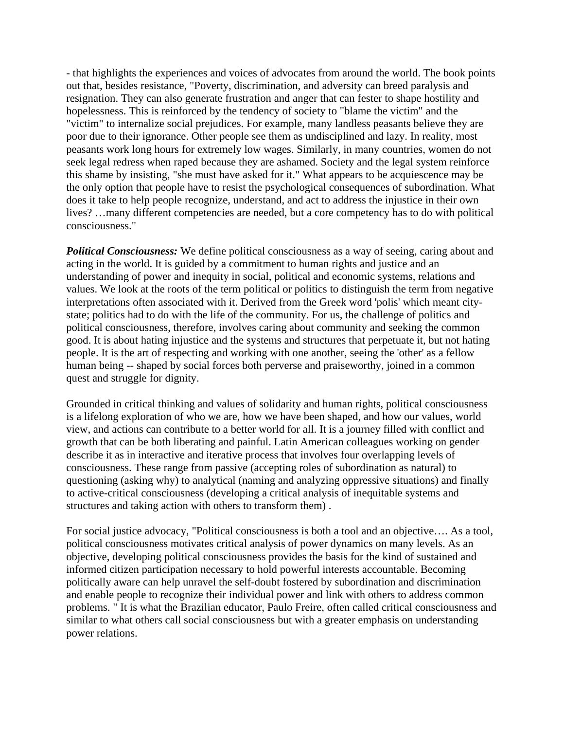- that highlights the experiences and voices of advocates from around the world. The book points out that, besides resistance, "Poverty, discrimination, and adversity can breed paralysis and resignation. They can also generate frustration and anger that can fester to shape hostility and hopelessness. This is reinforced by the tendency of society to "blame the victim" and the "victim" to internalize social prejudices. For example, many landless peasants believe they are poor due to their ignorance. Other people see them as undisciplined and lazy. In reality, most peasants work long hours for extremely low wages. Similarly, in many countries, women do not seek legal redress when raped because they are ashamed. Society and the legal system reinforce this shame by insisting, "she must have asked for it." What appears to be acquiescence may be the only option that people have to resist the psychological consequences of subordination. What does it take to help people recognize, understand, and act to address the injustice in their own lives? …many different competencies are needed, but a core competency has to do with political consciousness."

*Political Consciousness:* We define political consciousness as a way of seeing, caring about and acting in the world. It is guided by a commitment to human rights and justice and an understanding of power and inequity in social, political and economic systems, relations and values. We look at the roots of the term political or politics to distinguish the term from negative interpretations often associated with it. Derived from the Greek word 'polis' which meant citystate; politics had to do with the life of the community. For us, the challenge of politics and political consciousness, therefore, involves caring about community and seeking the common good. It is about hating injustice and the systems and structures that perpetuate it, but not hating people. It is the art of respecting and working with one another, seeing the 'other' as a fellow human being -- shaped by social forces both perverse and praiseworthy, joined in a common quest and struggle for dignity.

Grounded in critical thinking and values of solidarity and human rights, political consciousness is a lifelong exploration of who we are, how we have been shaped, and how our values, world view, and actions can contribute to a better world for all. It is a journey filled with conflict and growth that can be both liberating and painful. Latin American colleagues working on gender describe it as in interactive and iterative process that involves four overlapping levels of consciousness. These range from passive (accepting roles of subordination as natural) to questioning (asking why) to analytical (naming and analyzing oppressive situations) and finally to active-critical consciousness (developing a critical analysis of inequitable systems and structures and taking action with others to transform them) .

For social justice advocacy, "Political consciousness is both a tool and an objective…. As a tool, political consciousness motivates critical analysis of power dynamics on many levels. As an objective, developing political consciousness provides the basis for the kind of sustained and informed citizen participation necessary to hold powerful interests accountable. Becoming politically aware can help unravel the self-doubt fostered by subordination and discrimination and enable people to recognize their individual power and link with others to address common problems. " It is what the Brazilian educator, Paulo Freire, often called critical consciousness and similar to what others call social consciousness but with a greater emphasis on understanding power relations.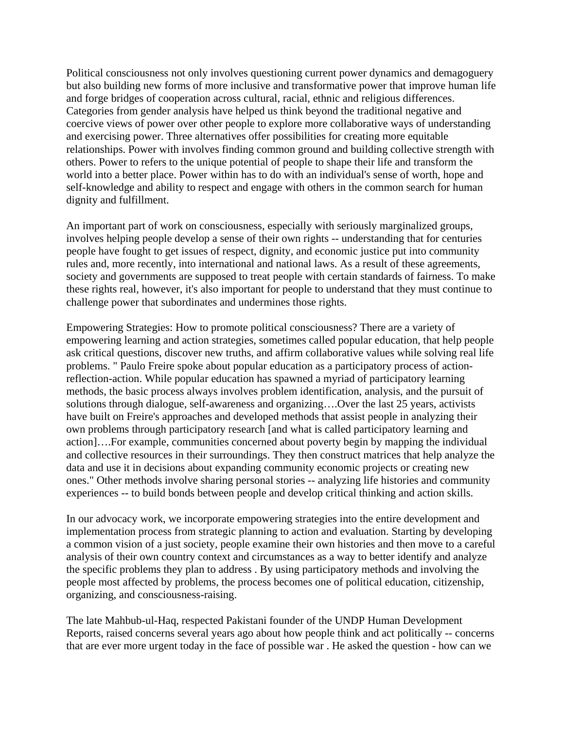Political consciousness not only involves questioning current power dynamics and demagoguery but also building new forms of more inclusive and transformative power that improve human life and forge bridges of cooperation across cultural, racial, ethnic and religious differences. Categories from gender analysis have helped us think beyond the traditional negative and coercive views of power over other people to explore more collaborative ways of understanding and exercising power. Three alternatives offer possibilities for creating more equitable relationships. Power with involves finding common ground and building collective strength with others. Power to refers to the unique potential of people to shape their life and transform the world into a better place. Power within has to do with an individual's sense of worth, hope and self-knowledge and ability to respect and engage with others in the common search for human dignity and fulfillment.

An important part of work on consciousness, especially with seriously marginalized groups, involves helping people develop a sense of their own rights -- understanding that for centuries people have fought to get issues of respect, dignity, and economic justice put into community rules and, more recently, into international and national laws. As a result of these agreements, society and governments are supposed to treat people with certain standards of fairness. To make these rights real, however, it's also important for people to understand that they must continue to challenge power that subordinates and undermines those rights.

Empowering Strategies: How to promote political consciousness? There are a variety of empowering learning and action strategies, sometimes called popular education, that help people ask critical questions, discover new truths, and affirm collaborative values while solving real life problems. " Paulo Freire spoke about popular education as a participatory process of actionreflection-action. While popular education has spawned a myriad of participatory learning methods, the basic process always involves problem identification, analysis, and the pursuit of solutions through dialogue, self-awareness and organizing….Over the last 25 years, activists have built on Freire's approaches and developed methods that assist people in analyzing their own problems through participatory research [and what is called participatory learning and action]….For example, communities concerned about poverty begin by mapping the individual and collective resources in their surroundings. They then construct matrices that help analyze the data and use it in decisions about expanding community economic projects or creating new ones." Other methods involve sharing personal stories -- analyzing life histories and community experiences -- to build bonds between people and develop critical thinking and action skills.

In our advocacy work, we incorporate empowering strategies into the entire development and implementation process from strategic planning to action and evaluation. Starting by developing a common vision of a just society, people examine their own histories and then move to a careful analysis of their own country context and circumstances as a way to better identify and analyze the specific problems they plan to address . By using participatory methods and involving the people most affected by problems, the process becomes one of political education, citizenship, organizing, and consciousness-raising.

The late Mahbub-ul-Haq, respected Pakistani founder of the UNDP Human Development Reports, raised concerns several years ago about how people think and act politically -- concerns that are ever more urgent today in the face of possible war . He asked the question - how can we